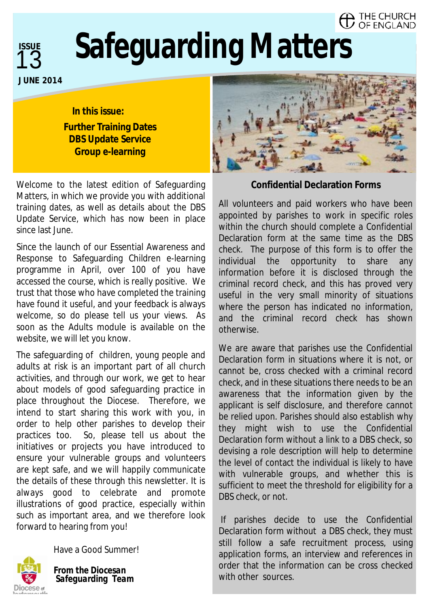#### THE CHURCH OF ENGLAND



# **Safeguarding Matters**

**1**

**In this issue: Further Training Dates DBS Update Service Group e-learning** 

Welcome to the latest edition of Safeguarding Matters, in which we provide you with additional training dates, as well as details about the DBS Update Service, which has now been in place since last June.

Since the launch of our Essential Awareness and Response to Safeguarding Children e-learning programme in April, over 100 of you have accessed the course, which is really positive. We trust that those who have completed the training have found it useful, and your feedback is always welcome, so do please tell us your views. As soon as the Adults module is available on the website, we will let you know.

The safeguarding of children, young people and adults at risk is an important part of all church activities, and through our work, we get to hear about models of good safeguarding practice in place throughout the Diocese. Therefore, we intend to start sharing this work with you, in order to help other parishes to develop their practices too. So, please tell us about the initiatives or projects you have introduced to ensure your vulnerable groups and volunteers are kept safe, and we will happily communicate the details of these through this newsletter. It is always good to celebrate and promote illustrations of good practice, especially within such as important area, and we therefore look forward to hearing from you!



Have a Good Summer!

*From the Diocesan Safeguarding Team* 



#### **Confidential Declaration Forms**

All volunteers and paid workers who have been appointed by parishes to work in specific roles within the church should complete a Confidential Declaration form at the same time as the DBS check. The purpose of this form is to offer the individual the opportunity to share any information before it is disclosed through the criminal record check, and this has proved very useful in the very small minority of situations where the person has indicated no information, and the criminal record check has shown otherwise.

We are aware that parishes use the Confidential Declaration form in situations where it is not, or cannot be, cross checked with a criminal record check, and in these situations there needs to be an awareness that the information given by the applicant is self disclosure, and therefore cannot be relied upon. Parishes should also establish why they might wish to use the Confidential Declaration form without a link to a DBS check, so devising a role description will help to determine the level of contact the individual is likely to have with vulnerable groups, and whether this is sufficient to meet the threshold for eligibility for a DBS check, or not.

If parishes decide to use the Confidential Declaration form without a DBS check, they must still follow a safe recruitment process, using application forms, an interview and references in order that the information can be cross checked with other sources.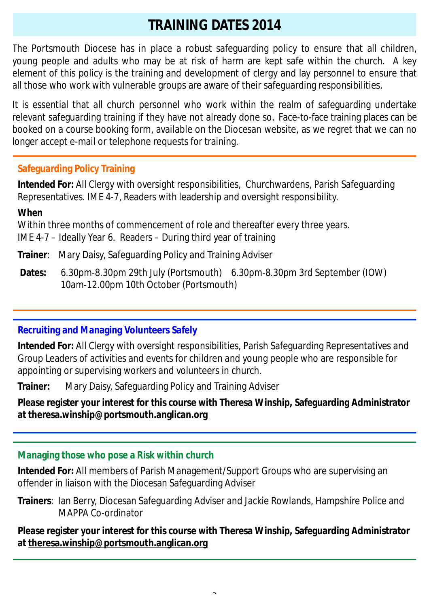## **TRAINING DATES 2014**

The Portsmouth Diocese has in place a robust safeguarding policy to ensure that all children, young people and adults who may be at risk of harm are kept safe within the church. A key element of this policy is the training and development of clergy and lay personnel to ensure that all those who work with vulnerable groups are aware of their safeguarding responsibilities.

It is essential that all church personnel who work within the realm of safeguarding undertake relevant safeguarding training if they have not already done so. Face-to-face training places can be booked on a course booking form, available on the Diocesan website, as we regret that we can no longer accept e-mail or telephone requests for training.

### **Safeguarding Policy Training**

**Intended For:** All Clergy with oversight responsibilities, Churchwardens, Parish Safeguarding Representatives. IME 4-7, Readers with leadership and oversight responsibility.

**When** 

Within three months of commencement of role and thereafter every three years.

IME 4-7 – Ideally Year 6. Readers – During third year of training

- **Trainer**: Mary Daisy, Safeguarding Policy and Training Adviser
- **Dates:** 6.30pm-8.30pm 29th July (Portsmouth) 6.30pm-8.30pm 3rd September (IOW)10am-12.00pm 10th October (Portsmouth)

#### **Recruiting and Managing Volunteers Safely**

**Intended For:** All Clergy with oversight responsibilities, Parish Safeguarding Representatives and Group Leaders of activities and events for children and young people who are responsible for appointing or supervising workers and volunteers in church.

**Trainer:** Mary Daisy, Safeguarding Policy and Training Adviser

**Please register your interest for this course with Theresa Winship, Safeguarding Administrator at [theresa.winship@portsmouth.anglican.org](mailto:theresa.winship@portsmouth.anglican.org)** 

#### **Managing those who pose a Risk within church**

**Intended For:** All members of Parish Management/Support Groups who are supervising an offender in liaison with the Diocesan Safeguarding Adviser

**Trainers**: Ian Berry, Diocesan Safeguarding Adviser and Jackie Rowlands, Hampshire Police and MAPPA Co-ordinator

**Please register your interest for this course with Theresa Winship, Safeguarding Administrator at [theresa.winship@portsmouth.anglican.org](mailto:theresa.winship@portsmouth.anglican.org)**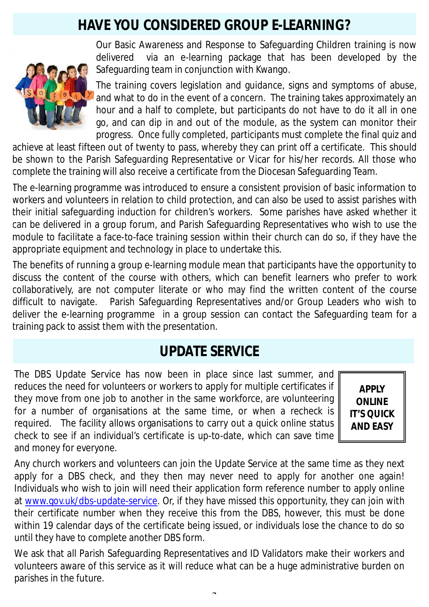## **HAVE YOU CONSIDERED GROUP E-LEARNING?**



Our Basic Awareness and Response to Safeguarding Children training is now delivered via an e-learning package that has been developed by the Safeguarding team in conjunction with Kwango.

The training covers legislation and guidance, signs and symptoms of abuse, and what to do in the event of a concern. The training takes approximately an hour and a half to complete, but participants do not have to do it all in one go, and can dip in and out of the module, as the system can monitor their progress. Once fully completed, participants must complete the final quiz and

achieve at least fifteen out of twenty to pass, whereby they can print off a certificate. This should be shown to the Parish Safeguarding Representative or Vicar for his/her records. All those who complete the training will also receive a certificate from the Diocesan Safeguarding Team.

The e-learning programme was introduced to ensure a consistent provision of basic information to workers and volunteers in relation to child protection, and can also be used to assist parishes with their initial safeguarding induction for children's workers. Some parishes have asked whether it can be delivered in a group forum, and Parish Safeguarding Representatives who wish to use the module to facilitate a face-to-face training session within their church can do so, if they have the appropriate equipment and technology in place to undertake this.

The benefits of running a group e-learning module mean that participants have the opportunity to discuss the content of the course with others, which can benefit learners who prefer to work collaboratively, are not computer literate or who may find the written content of the course difficult to navigate. Parish Safeguarding Representatives and/or Group Leaders who wish to deliver the e-learning programme in a group session can contact the Safeguarding team for a training pack to assist them with the presentation.

## **UPDATE SERVICE**

The DBS Update Service has now been in place since last summer, and reduces the need for volunteers or workers to apply for multiple certificates if they move from one job to another in the same workforce, are volunteering for a number of organisations at the same time, or when a recheck is required. The facility allows organisations to carry out a quick online status check to see if an individual's certificate is up-to-date, which can save time and money for everyone.

**APPLY ONLINE IT'S QUICK AND EASY** 

Any church workers and volunteers can join the Update Service at the same time as they next apply for a DBS check, and they then may never need to apply for another one again! Individuals who wish to join will need their application form reference number to apply online at [www.gov.uk/dbs-update-service](http://www.gov.uk/dbs-update-service). Or, if they have missed this opportunity, they can join with their certificate number when they receive this from the DBS, however, this must be done within 19 calendar days of the certificate being issued, or individuals lose the chance to do so until they have to complete another DBS form.

We ask that all Parish Safeguarding Representatives and ID Validators make their workers and volunteers aware of this service as it will reduce what can be a huge administrative burden on parishes in the future.